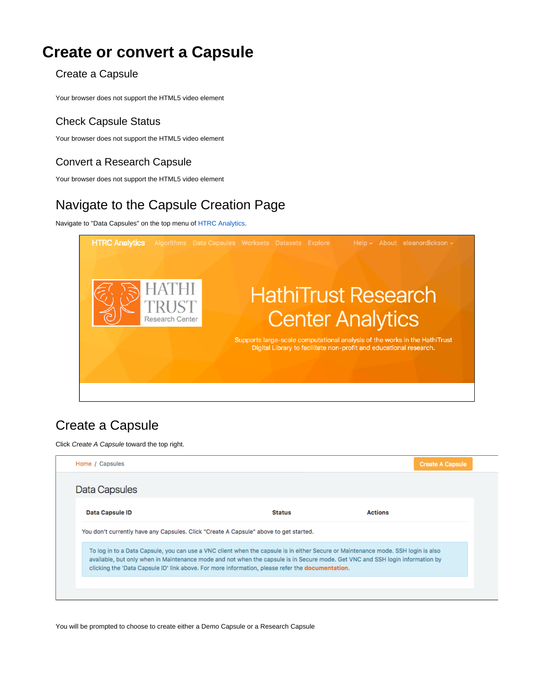# **Create or convert a Capsule**

#### Create a Capsule

Your browser does not support the HTML5 video element

### Check Capsule Status

Your browser does not support the HTML5 video element

## Convert a Research Capsule

Your browser does not support the HTML5 video element

# Navigate to the Capsule Creation Page

Navigate to "Data Capsules" on the top menu of [HTRC Analytics](https://analytics.hathitrust.org/).



## Create a Capsule

Click Create A Capsule toward the top right.

| Home / Capsules                                                                                                                                                                                                                                                                                                                                                                |               | <b>Create A Capsule</b> |  |
|--------------------------------------------------------------------------------------------------------------------------------------------------------------------------------------------------------------------------------------------------------------------------------------------------------------------------------------------------------------------------------|---------------|-------------------------|--|
| Data Capsules                                                                                                                                                                                                                                                                                                                                                                  |               |                         |  |
| <b>Data Capsule ID</b>                                                                                                                                                                                                                                                                                                                                                         | <b>Status</b> | <b>Actions</b>          |  |
| You don't currently have any Capsules. Click "Create A Capsule" above to get started.                                                                                                                                                                                                                                                                                          |               |                         |  |
| To log in to a Data Capsule, you can use a VNC client when the capsule is in either Secure or Maintenance mode. SSH login is also<br>available, but only when in Maintenance mode and not when the capsule is in Secure mode. Get VNC and SSH login information by<br>clicking the 'Data Capsule ID' link above. For more information, please refer the <b>documentation</b> . |               |                         |  |
|                                                                                                                                                                                                                                                                                                                                                                                |               |                         |  |

You will be prompted to choose to create either a Demo Capsule or a Research Capsule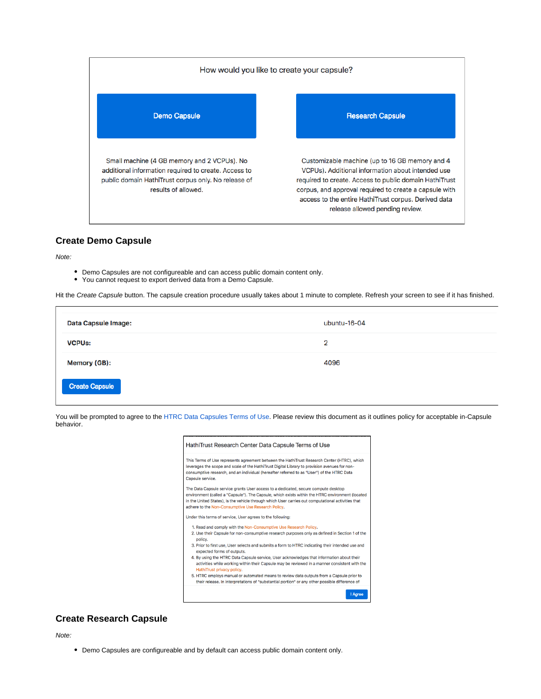

#### **Create Demo Capsule**

Note:

- Demo Capsules are not configureable and can access public domain content only.
- You cannot request to export derived data from a Demo Capsule.

Hit the Create Capsule button. The capsule creation procedure usually takes about 1 minute to complete. Refresh your screen to see if it has finished.

| <b>Data Capsule Image:</b> | ubuntu-16-04   |
|----------------------------|----------------|
| <b>VCPUs:</b>              | $\overline{2}$ |
| Memory (GB):               | 4096           |
| <b>Create Capsule</b>      |                |

You will be prompted to agree to the [HTRC Data Capsules Terms of Use.](https://www.hathitrust.org/htrc_dc_tou) Please review this document as it outlines policy for acceptable in-Capsule behavior.

| HathiTrust Research Center Data Capsule Terms of Use                                                                                                                                                                                                                                                                                               |  |
|----------------------------------------------------------------------------------------------------------------------------------------------------------------------------------------------------------------------------------------------------------------------------------------------------------------------------------------------------|--|
| This Terms of Use represents agreement between the HathiTrust Research Center (HTRC), which<br>leverages the scope and scale of the HathiTrust Digital Library to provision avenues for non-<br>consumptive research, and an individual (hereafter referred to as "User") of the HTRC Data<br>Capsule service.                                     |  |
| The Data Capsule service grants User access to a dedicated, secure compute desktop<br>environment (called a "Capsule"). The Capsule, which exists within the HTRC environment (located<br>in the United States), is the vehicle through which User carries out computational activities that<br>adhere to the Non-Consumptive Use Research Policy. |  |
| Under this terms of service, User agrees to the following:                                                                                                                                                                                                                                                                                         |  |
| 1. Read and comply with the Non-Consumptive Use Research Policy.<br>2. Use their Capsule for non-consumptive research purposes only as defined in Section 1 of the<br>policy.                                                                                                                                                                      |  |
| 3. Prior to first use, User selects and submits a form to HTRC indicating their intended use and<br>expected forms of outputs.                                                                                                                                                                                                                     |  |
| 4. By using the HTRC Data Capsule service, User acknowledges that information about their<br>activities while working within their Capsule may be reviewed in a manner consistent with the<br>HathiTrust privacy policy.                                                                                                                           |  |
| 5. HTRC employs manual or automated means to review data outputs from a Capsule prior to<br>their release. In interpretations of "substantial portion" or any other possible difference of                                                                                                                                                         |  |

I Agree

#### **Create Research Capsule**

Note:

Demo Capsules are configureable and by default can access public domain content only.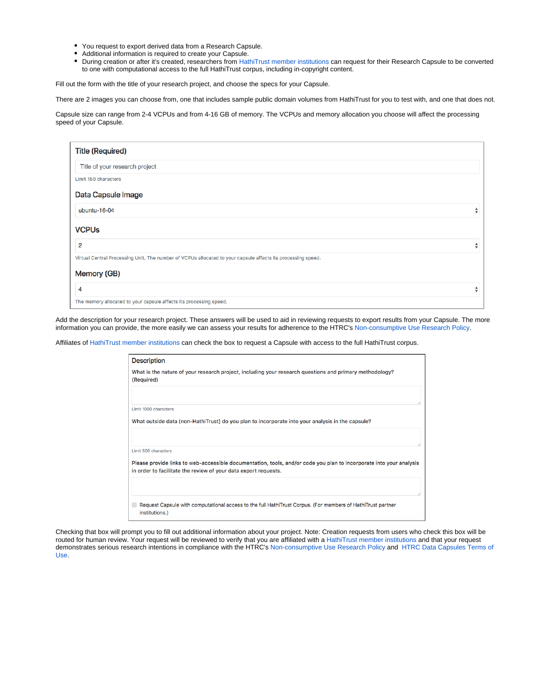- You request to export derived data from a Research Capsule.
- Additional information is required to create your Capsule.  $\bullet$
- During creation or after it's created, researchers from [HathiTrust member institutions c](https://www.hathitrust.org/community)an request for their Research Capsule to be converted  $\bullet$ to one with computational access to the full HathiTrust corpus, including in-copyright content.

Fill out the form with the title of your research project, and choose the specs for your Capsule.

There are 2 images you can choose from, one that includes sample public domain volumes from HathiTrust for you to test with, and one that does not.

Capsule size can range from 2-4 VCPUs and from 4-16 GB of memory. The VCPUs and memory allocation you choose will affect the processing speed of your Capsule.

| <b>Title (Required)</b>                                                                                      |   |
|--------------------------------------------------------------------------------------------------------------|---|
| Title of your research project                                                                               |   |
| Limit 150 characters                                                                                         |   |
| Data Capsule Image                                                                                           |   |
| ubuntu-16-04                                                                                                 | ÷ |
| <b>VCPUs</b>                                                                                                 |   |
| $\overline{2}$                                                                                               | ÷ |
| Virtual Central Processing Unit. The number of VCPUs allocated to your capsule affects its processing speed. |   |
| Memory (GB)                                                                                                  |   |
| 4                                                                                                            | ÷ |
| The memory allocated to your capsule affects its processing speed.                                           |   |

Add the description for your research project. These answers will be used to aid in reviewing requests to export results from your Capsule. The more information you can provide, the more easily we can assess your results for adherence to the HTRC's [Non-consumptive Use Research Policy.](https://www.hathitrust.org/htrc_ncup)

Affiliates of [HathiTrust member institutions](https://www.hathitrust.org/community) can check the box to request a Capsule with access to the full HathiTrust corpus.

| <b>Description</b>    |                                                                                                                                                                                        |
|-----------------------|----------------------------------------------------------------------------------------------------------------------------------------------------------------------------------------|
| (Required)            | What is the nature of your research project, including your research questions and primary methodology?                                                                                |
| Limit 1000 characters |                                                                                                                                                                                        |
|                       | What outside data (non-HathiTrust) do you plan to incorporate into your analysis in the capsule?                                                                                       |
| Limit 500 characters  |                                                                                                                                                                                        |
|                       | Please provide links to web-accessible documentation, tools, and/or code you plan to incorporate into your analysis<br>in order to facilitate the review of your data export requests. |
|                       |                                                                                                                                                                                        |
| institutions.)        | Request Capsule with computational access to the full HathiTrust Corpus. (For members of HathiTrust partner                                                                            |

Checking that box will prompt you to fill out additional information about your project. Note: Creation requests from users who check this box will be routed for human review. Your request will be reviewed to verify that you are affiliated with a [HathiTrust member institutions](https://www.hathitrust.org/community) and that your request demonstrates serious research intentions in compliance with the HTRC's [Non-consumptive Use Research Policy](https://www.hathitrust.org/htrc_ncup) and [HTRC Data Capsules Terms of](https://www.hathitrust.org/htrc_dc_tou)  [Use](https://www.hathitrust.org/htrc_dc_tou).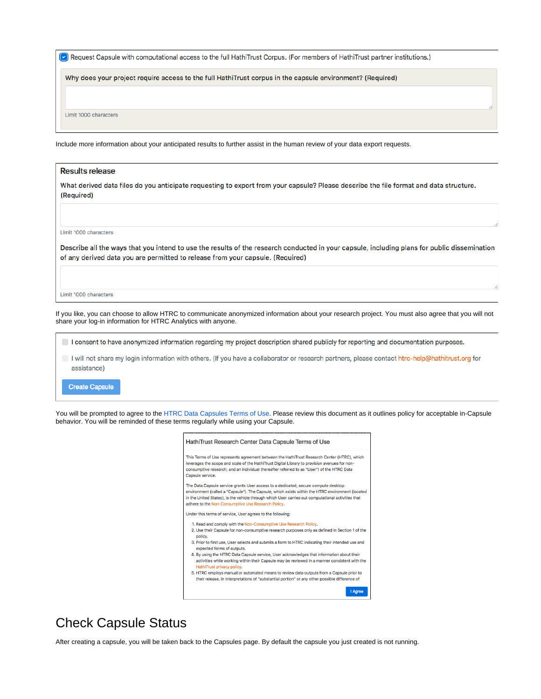Request Capsule with computational access to the full HathiTrust Corpus. (For members of HathiTrust partner institutions.)

Why does your project require access to the full HathiTrust corpus in the capsule environment? (Required)

Limit 1000 characters

Include more information about your anticipated results to further assist in the human review of your data export requests.

| <b>Results release</b>                                                                                                                                                                                                         |  |
|--------------------------------------------------------------------------------------------------------------------------------------------------------------------------------------------------------------------------------|--|
| What derived data files do you anticipate requesting to export from your capsule? Please describe the file format and data structure.<br>(Required)                                                                            |  |
|                                                                                                                                                                                                                                |  |
| Limit 1000 characters                                                                                                                                                                                                          |  |
| Describe all the ways that you intend to use the results of the research conducted in your capsule, including plans for public dissemination<br>of any derived data you are permitted to release from your capsule. (Required) |  |
|                                                                                                                                                                                                                                |  |
| Limit 1000 characters                                                                                                                                                                                                          |  |
| If you like, you can choose to allow HTRC to communicate anonymized information about your research project. You must also agree that you will not<br>share your log-in information for HTRC Analytics with anyone.            |  |
| I consent to have anonymized information regarding my project description shared publicly for reporting and documentation purposes.                                                                                            |  |
| I will not share my login information with others. (If you have a collaborator or research partners, please contact htrc-help@hathitrust.org for                                                                               |  |

**Create Capsule** 

assistance)

You will be prompted to agree to the [HTRC Data Capsules Terms of Use.](https://www.hathitrust.org/htrc_dc_tou) Please review this document as it outlines policy for acceptable in-Capsule behavior. You will be reminded of these terms regularly while using your Capsule.

| This Terms of Use represents agreement between the HathiTrust Research Center (HTRC), which<br>leverages the scope and scale of the HathiTrust Digital Library to provision avenues for non-<br>consumptive research, and an individual (hereafter referred to as "User") of the HTRC Data<br>Capsule service.                                     |
|----------------------------------------------------------------------------------------------------------------------------------------------------------------------------------------------------------------------------------------------------------------------------------------------------------------------------------------------------|
| The Data Capsule service grants User access to a dedicated, secure compute desktop<br>environment (called a "Capsule"). The Capsule, which exists within the HTRC environment (located<br>in the United States), is the vehicle through which User carries out computational activities that<br>adhere to the Non-Consumptive Use Research Policy. |
| Under this terms of service, User agrees to the following:                                                                                                                                                                                                                                                                                         |
| 1. Read and comply with the Non-Consumptive Use Research Policy.<br>2. Use their Capsule for non-consumptive research purposes only as defined in Section 1 of the<br>policy.                                                                                                                                                                      |
| 3. Prior to first use, User selects and submits a form to HTRC indicating their intended use and<br>expected forms of outputs.                                                                                                                                                                                                                     |
| 4. By using the HTRC Data Capsule service, User acknowledges that information about their<br>activities while working within their Capsule may be reviewed in a manner consistent with the<br>HathiTrust privacy policy.                                                                                                                           |
| 5. HTRC employs manual or automated means to review data outputs from a Capsule prior to<br>their release. In interpretations of "substantial portion" or any other possible difference of                                                                                                                                                         |

## Check Capsule Status

After creating a capsule, you will be taken back to the Capsules page. By default the capsule you just created is not running.